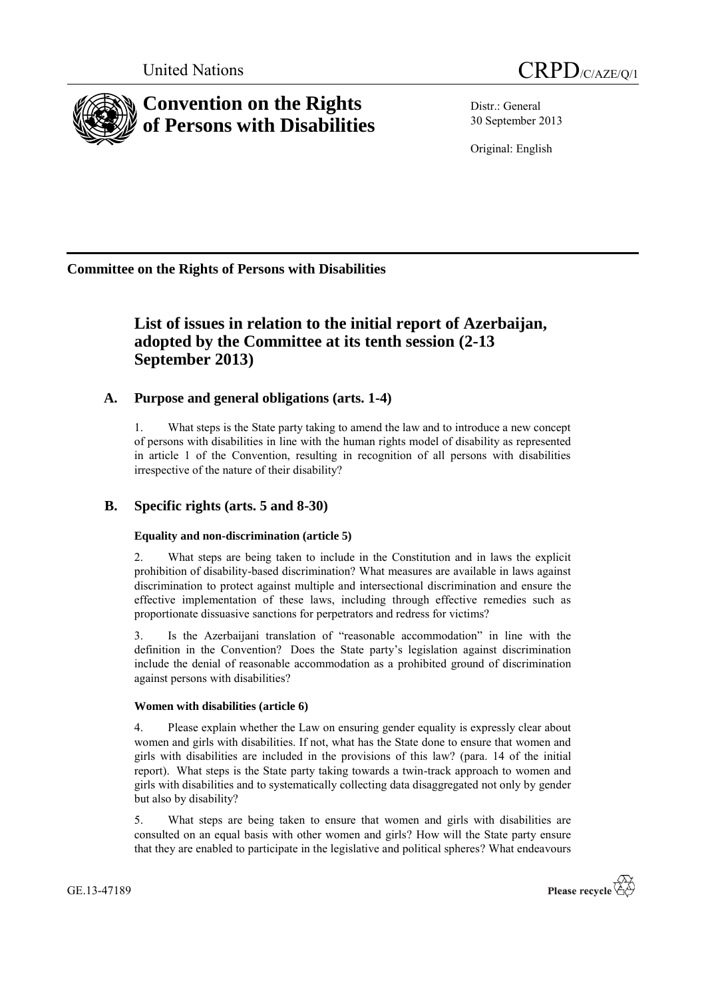



# **Convention on the Rights of Persons with Disabilities**

Distr.: General 30 September 2013

Original: English

**Committee on the Rights of Persons with Disabilities**

## **List of issues in relation to the initial report of Azerbaijan, adopted by the Committee at its tenth session (2-13 September 2013)**

## **A. Purpose and general obligations (arts. 1-4)**

1. What steps is the State party taking to amend the law and to introduce a new concept of persons with disabilities in line with the human rights model of disability as represented in article 1 of the Convention, resulting in recognition of all persons with disabilities irrespective of the nature of their disability?

## **B. Specific rights (arts. 5 and 8-30)**

## **Equality and non-discrimination (article 5)**

2. What steps are being taken to include in the Constitution and in laws the explicit prohibition of disability-based discrimination? What measures are available in laws against discrimination to protect against multiple and intersectional discrimination and ensure the effective implementation of these laws, including through effective remedies such as proportionate dissuasive sanctions for perpetrators and redress for victims?

3. Is the Azerbaijani translation of "reasonable accommodation" in line with the definition in the Convention? Does the State party's legislation against discrimination include the denial of reasonable accommodation as a prohibited ground of discrimination against persons with disabilities?

## **Women with disabilities (article 6)**

4. Please explain whether the Law on ensuring gender equality is expressly clear about women and girls with disabilities. If not, what has the State done to ensure that women and girls with disabilities are included in the provisions of this law? (para. 14 of the initial report). What steps is the State party taking towards a twin-track approach to women and girls with disabilities and to systematically collecting data disaggregated not only by gender but also by disability?

5. What steps are being taken to ensure that women and girls with disabilities are consulted on an equal basis with other women and girls? How will the State party ensure that they are enabled to participate in the legislative and political spheres? What endeavours

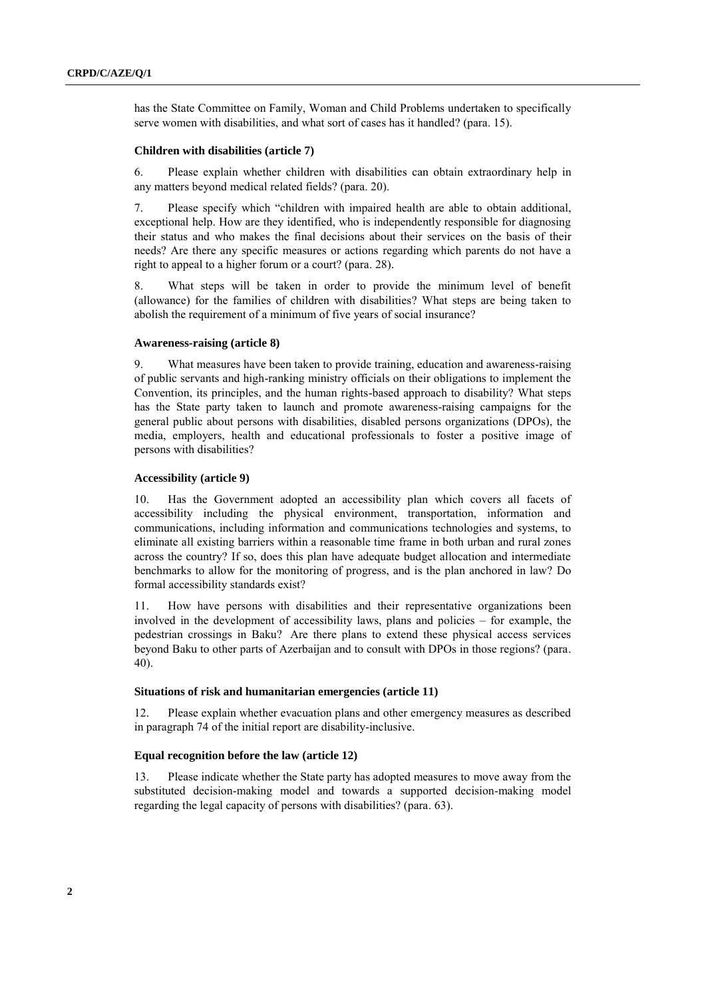has the State Committee on Family, Woman and Child Problems undertaken to specifically serve women with disabilities, and what sort of cases has it handled? (para. 15).

## **Children with disabilities (article 7)**

6. Please explain whether children with disabilities can obtain extraordinary help in any matters beyond medical related fields? (para. 20).

7. Please specify which "children with impaired health are able to obtain additional, exceptional help. How are they identified, who is independently responsible for diagnosing their status and who makes the final decisions about their services on the basis of their needs? Are there any specific measures or actions regarding which parents do not have a right to appeal to a higher forum or a court? (para. 28).

8. What steps will be taken in order to provide the minimum level of benefit (allowance) for the families of children with disabilities? What steps are being taken to abolish the requirement of a minimum of five years of social insurance?

## **Awareness-raising (article 8)**

9. What measures have been taken to provide training, education and awareness-raising of public servants and high-ranking ministry officials on their obligations to implement the Convention, its principles, and the human rights-based approach to disability? What steps has the State party taken to launch and promote awareness-raising campaigns for the general public about persons with disabilities, disabled persons organizations (DPOs), the media, employers, health and educational professionals to foster a positive image of persons with disabilities?

#### **Accessibility (article 9)**

10. Has the Government adopted an accessibility plan which covers all facets of accessibility including the physical environment, transportation, information and communications, including information and communications technologies and systems, to eliminate all existing barriers within a reasonable time frame in both urban and rural zones across the country? If so, does this plan have adequate budget allocation and intermediate benchmarks to allow for the monitoring of progress, and is the plan anchored in law? Do formal accessibility standards exist?

11. How have persons with disabilities and their representative organizations been involved in the development of accessibility laws, plans and policies – for example, the pedestrian crossings in Baku? Are there plans to extend these physical access services beyond Baku to other parts of Azerbaijan and to consult with DPOs in those regions? (para. 40).

## **Situations of risk and humanitarian emergencies (article 11)**

12. Please explain whether evacuation plans and other emergency measures as described in paragraph 74 of the initial report are disability-inclusive.

## **Equal recognition before the law (article 12)**

13. Please indicate whether the State party has adopted measures to move away from the substituted decision-making model and towards a supported decision-making model regarding the legal capacity of persons with disabilities? (para. 63).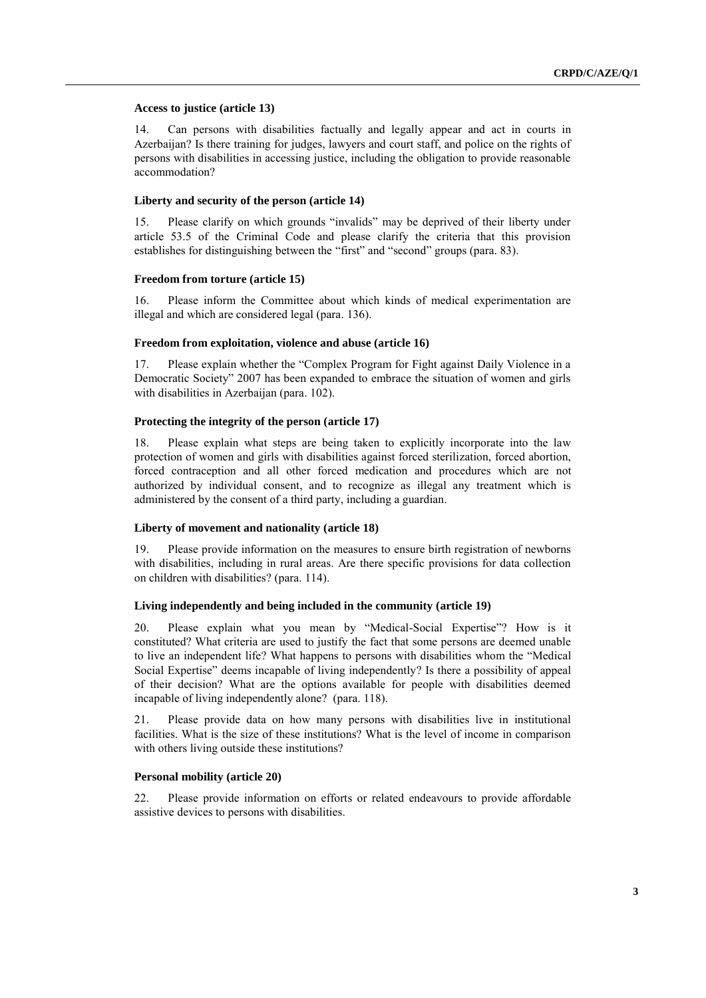## **Access to justice (article 13)**

14. Can persons with disabilities factually and legally appear and act in courts in Azerbaijan? Is there training for judges, lawyers and court staff, and police on the rights of persons with disabilities in accessing justice, including the obligation to provide reasonable accommodation?

## **Liberty and security of the person (article 14)**

15. Please clarify on which grounds "invalids" may be deprived of their liberty under article 53.5 of the Criminal Code and please clarify the criteria that this provision establishes for distinguishing between the "first" and "second" groups (para. 83).

## **Freedom from torture (article 15)**

16. Please inform the Committee about which kinds of medical experimentation are illegal and which are considered legal (para. 136).

## **Freedom from exploitation, violence and abuse (article 16)**

17. Please explain whether the "Complex Program for Fight against Daily Violence in a Democratic Society" 2007 has been expanded to embrace the situation of women and girls with disabilities in Azerbaijan (para. 102).

## **Protecting the integrity of the person (article 17)**

18. Please explain what steps are being taken to explicitly incorporate into the law protection of women and girls with disabilities against forced sterilization, forced abortion, forced contraception and all other forced medication and procedures which are not authorized by individual consent, and to recognize as illegal any treatment which is administered by the consent of a third party, including a guardian.

#### **Liberty of movement and nationality (article 18)**

19. Please provide information on the measures to ensure birth registration of newborns with disabilities, including in rural areas. Are there specific provisions for data collection on children with disabilities? (para. 114).

## **Living independently and being included in the community (article 19)**

20. Please explain what you mean by "Medical-Social Expertise"? How is it constituted? What criteria are used to justify the fact that some persons are deemed unable to live an independent life? What happens to persons with disabilities whom the "Medical Social Expertise" deems incapable of living independently? Is there a possibility of appeal of their decision? What are the options available for people with disabilities deemed incapable of living independently alone? (para. 118).

21. Please provide data on how many persons with disabilities live in institutional facilities. What is the size of these institutions? What is the level of income in comparison with others living outside these institutions?

#### **Personal mobility (article 20)**

22. Please provide information on efforts or related endeavours to provide affordable assistive devices to persons with disabilities.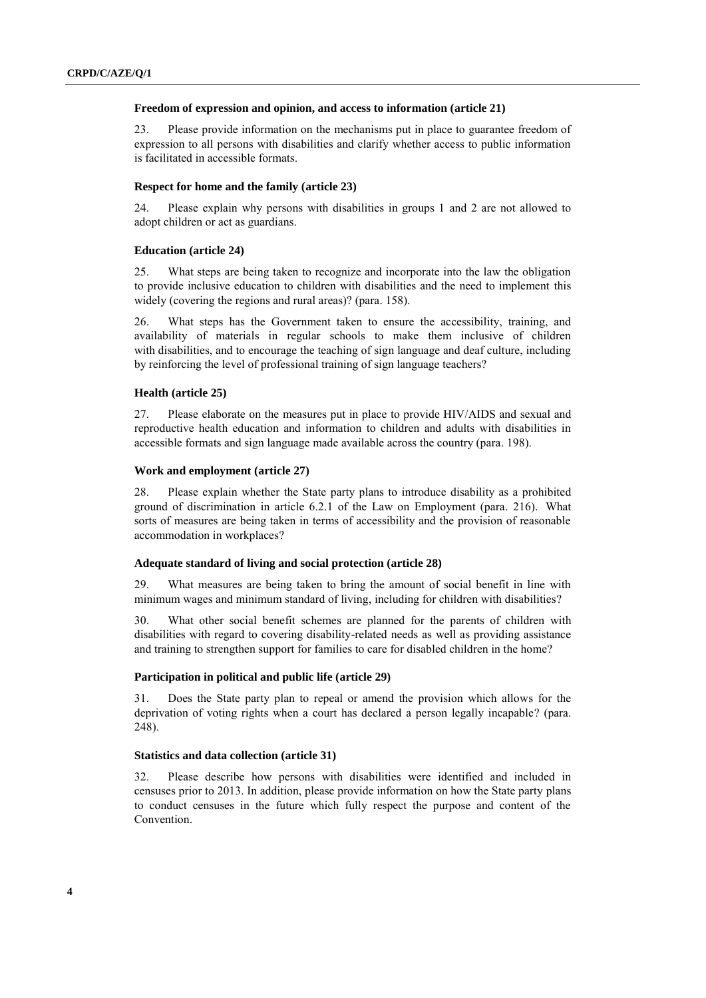#### **Freedom of expression and opinion, and access to information (article 21)**

23. Please provide information on the mechanisms put in place to guarantee freedom of expression to all persons with disabilities and clarify whether access to public information is facilitated in accessible formats.

## **Respect for home and the family (article 23)**

24. Please explain why persons with disabilities in groups 1 and 2 are not allowed to adopt children or act as guardians.

#### **Education (article 24)**

25. What steps are being taken to recognize and incorporate into the law the obligation to provide inclusive education to children with disabilities and the need to implement this widely (covering the regions and rural areas)? (para. 158).

26. What steps has the Government taken to ensure the accessibility, training, and availability of materials in regular schools to make them inclusive of children with disabilities, and to encourage the teaching of sign language and deaf culture, including by reinforcing the level of professional training of sign language teachers?

#### **Health (article 25)**

27. Please elaborate on the measures put in place to provide HIV/AIDS and sexual and reproductive health education and information to children and adults with disabilities in accessible formats and sign language made available across the country (para. 198).

#### **Work and employment (article 27)**

28. Please explain whether the State party plans to introduce disability as a prohibited ground of discrimination in article 6.2.1 of the Law on Employment (para. 216). What sorts of measures are being taken in terms of accessibility and the provision of reasonable accommodation in workplaces?

## **Adequate standard of living and social protection (article 28)**

29. What measures are being taken to bring the amount of social benefit in line with minimum wages and minimum standard of living, including for children with disabilities?

30. What other social benefit schemes are planned for the parents of children with disabilities with regard to covering disability-related needs as well as providing assistance and training to strengthen support for families to care for disabled children in the home?

#### **Participation in political and public life (article 29)**

31. Does the State party plan to repeal or amend the provision which allows for the deprivation of voting rights when a court has declared a person legally incapable? (para. 248).

## **Statistics and data collection (article 31)**

32. Please describe how persons with disabilities were identified and included in censuses prior to 2013. In addition, please provide information on how the State party plans to conduct censuses in the future which fully respect the purpose and content of the Convention.